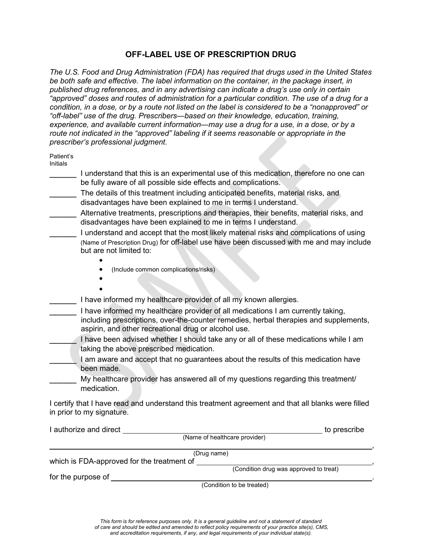## **OFF-LABEL USE OF PRESCRIPTION DRUG**

*The U.S. Food and Drug Administration (FDA) has required that drugs used in the United States be both safe and effective. The label information on the container, in the package insert, in published drug references, and in any advertising can indicate a drug's use only in certain "approved" doses and routes of administration for a particular condition. The use of a drug for a condition, in a dose, or by a route not listed on the label is considered to be a "nonapproved" or "off-label" use of the drug. Prescribers—based on their knowledge, education, training, experience, and available current information—may use a drug for a use, in a dose, or by a route not indicated in the "approved" labeling if it seems reasonable or appropriate in the prescriber's professional judgment.* 

Patient's

Initials

- I understand that this is an experimental use of this medication, therefore no one can be fully aware of all possible side effects and complications.
- The details of this treatment including anticipated benefits, material risks, and disadvantages have been explained to me in terms I understand.
- Alternative treatments, prescriptions and therapies, their benefits, material risks, and disadvantages have been explained to me in terms I understand.
- \_\_\_\_\_ I understand and accept that the most likely material risks and complications of using (Name of Prescription Drug) for off-label use have been discussed with me and may include but are not limited to:
	- •
	- (Include common complications/risks)
	- •
	- I have informed my healthcare provider of all my known allergies.
- I have informed my healthcare provider of all medications I am currently taking, including prescriptions, over-the-counter remedies, herbal therapies and supplements, aspirin, and other recreational drug or alcohol use.
	- I have been advised whether I should take any or all of these medications while I am taking the above prescribed medication.
		- \_\_\_\_\_ I am aware and accept that no guarantees about the results of this medication have been made.
	- My healthcare provider has answered all of my questions regarding this treatment/ medication.

I certify that I have read and understand this treatment agreement and that all blanks were filled in prior to my signature.

| I authorize and direct                     | to prescribe                           |  |
|--------------------------------------------|----------------------------------------|--|
|                                            | (Name of healthcare provider)          |  |
|                                            | (Drug name)                            |  |
| which is FDA-approved for the treatment of |                                        |  |
|                                            | (Condition drug was approved to treat) |  |
| for the purpose of                         |                                        |  |
|                                            | (Condition to be treated)              |  |